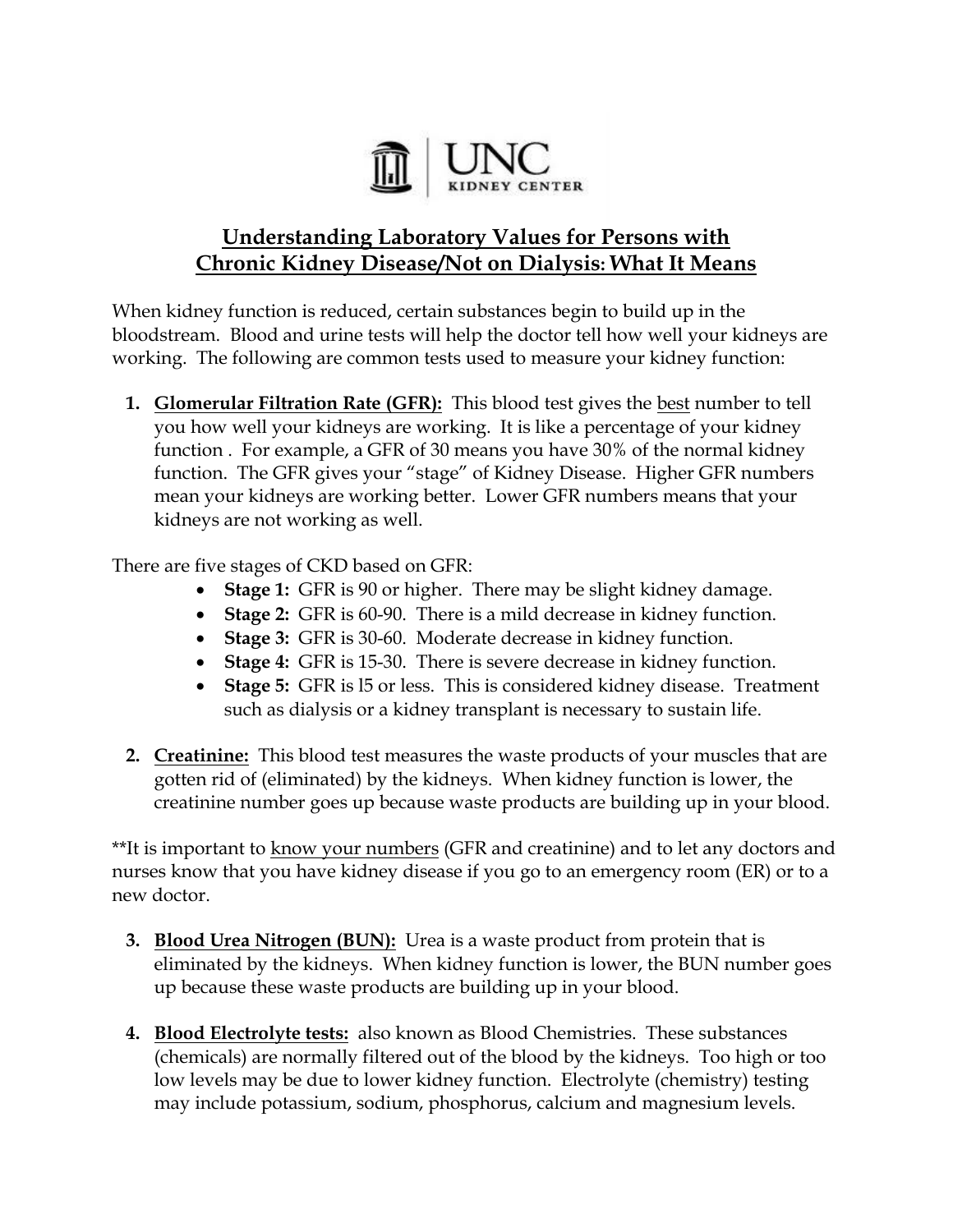

## **Understanding Laboratory Values for Persons with Chronic Kidney Disease/Not on Dialysis: What It Means**

When kidney function is reduced, certain substances begin to build up in the bloodstream. Blood and urine tests will help the doctor tell how well your kidneys are working. The following are common tests used to measure your kidney function:

**1. Glomerular Filtration Rate (GFR):** This blood test gives the best number to tell you how well your kidneys are working. It is like a percentage of your kidney function . For example, a GFR of 30 means you have 30% of the normal kidney function. The GFR gives your "stage" of Kidney Disease. Higher GFR numbers mean your kidneys are working better. Lower GFR numbers means that your kidneys are not working as well.

There are five stages of CKD based on GFR:

- **Stage 1:** GFR is 90 or higher. There may be slight kidney damage.
- **Stage 2:** GFR is 60-90. There is a mild decrease in kidney function.
- **Stage 3:** GFR is 30-60. Moderate decrease in kidney function.
- **Stage 4:** GFR is 15-30. There is severe decrease in kidney function.
- **Stage 5:** GFR is l5 or less. This is considered kidney disease. Treatment such as dialysis or a kidney transplant is necessary to sustain life.
- **2. Creatinine:** This blood test measures the waste products of your muscles that are gotten rid of (eliminated) by the kidneys. When kidney function is lower, the creatinine number goes up because waste products are building up in your blood.

\*\*It is important to know your numbers (GFR and creatinine) and to let any doctors and nurses know that you have kidney disease if you go to an emergency room (ER) or to a new doctor.

- **3. Blood Urea Nitrogen (BUN):** Urea is a waste product from protein that is eliminated by the kidneys. When kidney function is lower, the BUN number goes up because these waste products are building up in your blood.
- **4. Blood Electrolyte tests:** also known as Blood Chemistries. These substances (chemicals) are normally filtered out of the blood by the kidneys. Too high or too low levels may be due to lower kidney function. Electrolyte (chemistry) testing may include potassium, sodium, phosphorus, calcium and magnesium levels.